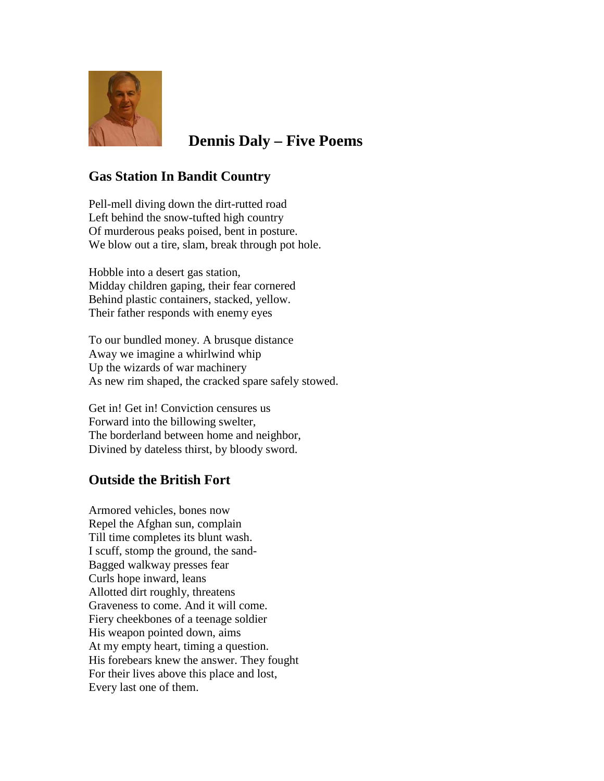

# **Dennis Daly – Five Poems**

## **Gas Station In Bandit Country**

Pell-mell diving down the dirt-rutted road Left behind the snow-tufted high country Of murderous peaks poised, bent in posture. We blow out a tire, slam, break through pot hole.

Hobble into a desert gas station, Midday children gaping, their fear cornered Behind plastic containers, stacked, yellow. Their father responds with enemy eyes

To our bundled money. A brusque distance Away we imagine a whirlwind whip Up the wizards of war machinery As new rim shaped, the cracked spare safely stowed.

Get in! Get in! Conviction censures us Forward into the billowing swelter, The borderland between home and neighbor, Divined by dateless thirst, by bloody sword.

## **Outside the British Fort**

Armored vehicles, bones now Repel the Afghan sun, complain Till time completes its blunt wash. I scuff, stomp the ground, the sand-Bagged walkway presses fear Curls hope inward, leans Allotted dirt roughly, threatens Graveness to come. And it will come. Fiery cheekbones of a teenage soldier His weapon pointed down, aims At my empty heart, timing a question. His forebears knew the answer. They fought For their lives above this place and lost, Every last one of them.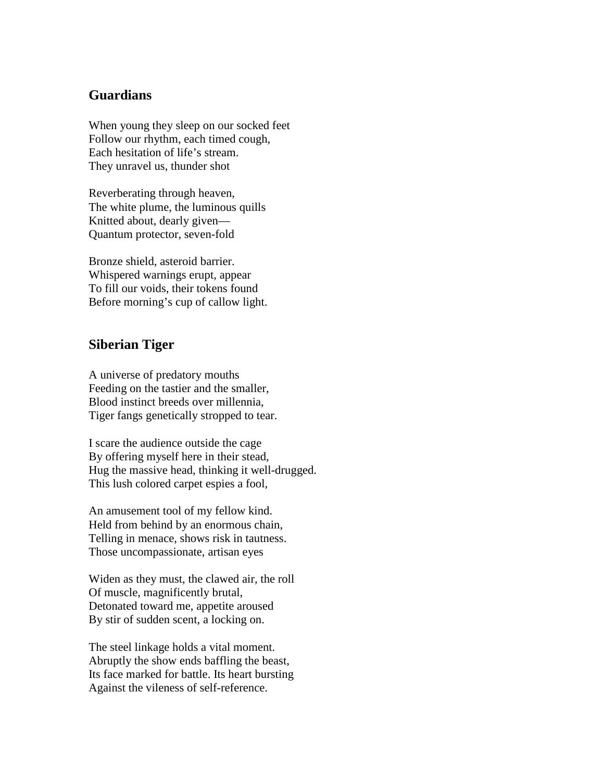### **Guardians**

When young they sleep on our socked feet Follow our rhythm, each timed cough, Each hesitation of life's stream. They unravel us, thunder shot

Reverberating through heaven, The white plume, the luminous quills Knitted about, dearly given— Quantum protector, seven-fold

Bronze shield, asteroid barrier. Whispered warnings erupt, appear To fill our voids, their tokens found Before morning's cup of callow light.

#### **Siberian Tiger**

A universe of predatory mouths Feeding on the tastier and the smaller, Blood instinct breeds over millennia, Tiger fangs genetically stropped to tear.

I scare the audience outside the cage By offering myself here in their stead, Hug the massive head, thinking it well-drugged. This lush colored carpet espies a fool,

An amusement tool of my fellow kind. Held from behind by an enormous chain, Telling in menace, shows risk in tautness. Those uncompassionate, artisan eyes

Widen as they must, the clawed air, the roll Of muscle, magnificently brutal, Detonated toward me, appetite aroused By stir of sudden scent, a locking on.

The steel linkage holds a vital moment. Abruptly the show ends baffling the beast, Its face marked for battle. Its heart bursting Against the vileness of self-reference.